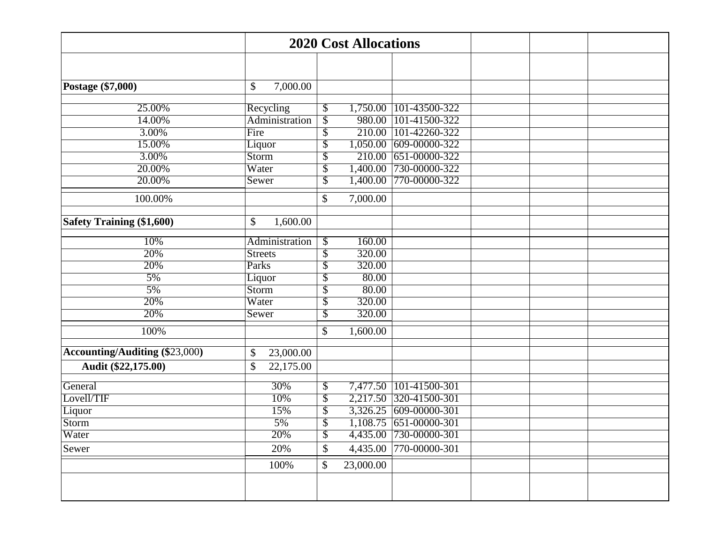|                                       | <b>2020 Cost Allocations</b> |                           |           |                          |  |
|---------------------------------------|------------------------------|---------------------------|-----------|--------------------------|--|
|                                       |                              |                           |           |                          |  |
| Postage (\$7,000)                     | \$<br>7,000.00               |                           |           |                          |  |
|                                       |                              |                           |           |                          |  |
| 25.00%                                | Recycling                    | \$                        | 1,750.00  | 101-43500-322            |  |
| 14.00%                                | Administration               | $\overline{\$}$           | 980.00    | 101-41500-322            |  |
| 3.00%                                 | Fire                         | $\overline{\$}$           | 210.00    | 101-42260-322            |  |
| 15.00%                                | Liquor                       | \$                        | 1,050.00  | 609-00000-322            |  |
| 3.00%                                 | Storm                        | \$                        | 210.00    | 651-00000-322            |  |
| 20.00%                                | Water                        | \$                        | 1,400.00  | 730-00000-322            |  |
| 20.00%                                | Sewer                        | $\overline{\$}$           | 1,400.00  | 770-00000-322            |  |
| 100.00%                               |                              | \$                        | 7,000.00  |                          |  |
| <b>Safety Training (\$1,600)</b>      | \$<br>1,600.00               |                           |           |                          |  |
|                                       |                              |                           |           |                          |  |
| 10%                                   | Administration               | \$                        | 160.00    |                          |  |
| 20%                                   | <b>Streets</b>               | $\overline{\mathcal{S}}$  | 320.00    |                          |  |
| 20%                                   | Parks                        | \$                        | 320.00    |                          |  |
| 5%                                    | Liquor                       | \$                        | 80.00     |                          |  |
| 5%                                    | Storm                        | $\overline{\$}$           | 80.00     |                          |  |
| 20%                                   | Water                        | \$                        | 320.00    |                          |  |
| 20%                                   | Sewer                        | \$                        | 320.00    |                          |  |
| 100%                                  |                              | \$                        | 1,600.00  |                          |  |
| <b>Accounting/Auditing (\$23,000)</b> | \$<br>23,000.00              |                           |           |                          |  |
| Audit (\$22,175.00)                   | \$<br>22,175.00              |                           |           |                          |  |
| General                               | 30%                          | \$                        | 7,477.50  | $101 - 41500 - 301$      |  |
| Lovell/TIF                            | 10%                          | $\overline{\$}$           |           | 2,217.50 320-41500-301   |  |
| Liquor                                | 15%                          | $\overline{\$}$           |           | 3,326.25 609-00000-301   |  |
| Storm                                 | 5%                           | $\overline{\$}$           |           | $1,108.75$ 651-00000-301 |  |
| Water                                 | 20%                          | $\boldsymbol{\mathsf{S}}$ |           | 4,435.00 730-00000-301   |  |
| Sewer                                 | 20%                          | \$                        | 4,435.00  | 770-00000-301            |  |
|                                       |                              | $\boldsymbol{\mathsf{S}}$ | 23,000.00 |                          |  |
|                                       | 100%                         |                           |           |                          |  |
|                                       |                              |                           |           |                          |  |
|                                       |                              |                           |           |                          |  |